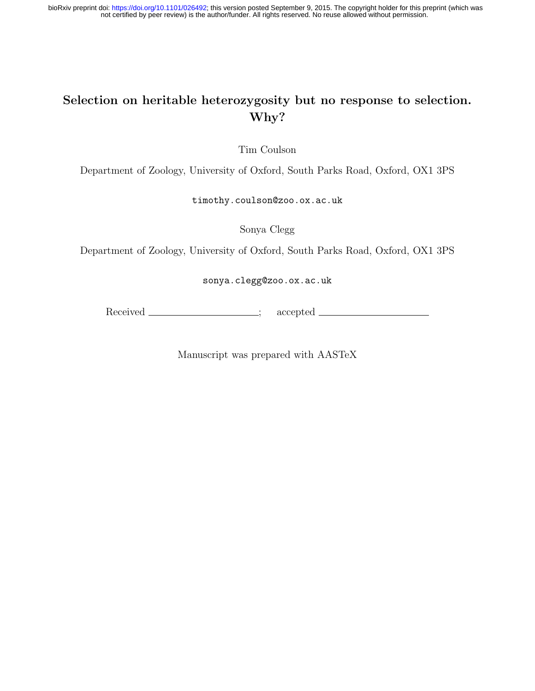# Selection on heritable heterozygosity but no response to selection. Why?

Tim Coulson

Department of Zoology, University of Oxford, South Parks Road, Oxford, OX1 3PS

timothy.coulson@zoo.ox.ac.uk

Sonya Clegg

Department of Zoology, University of Oxford, South Parks Road, Oxford, OX1 3PS

sonya.clegg@zoo.ox.ac.uk

Received ; accepted

Manuscript was prepared with AASTeX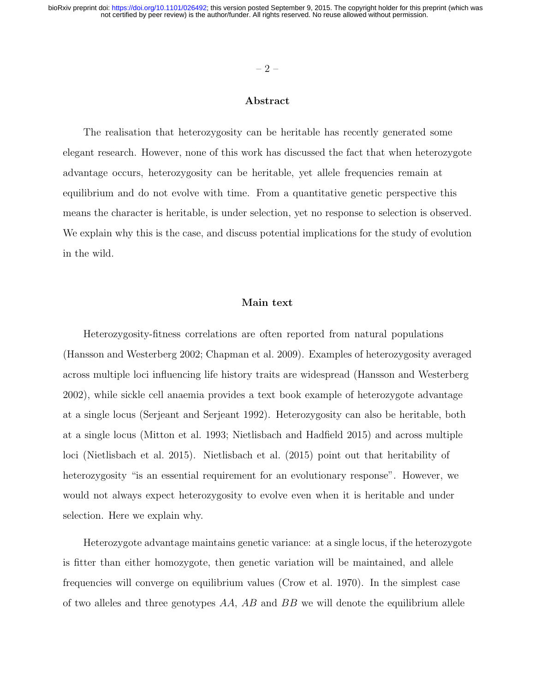#### $-2-$

### Abstract

The realisation that heterozygosity can be heritable has recently generated some elegant research. However, none of this work has discussed the fact that when heterozygote advantage occurs, heterozygosity can be heritable, yet allele frequencies remain at equilibrium and do not evolve with time. From a quantitative genetic perspective this means the character is heritable, is under selection, yet no response to selection is observed. We explain why this is the case, and discuss potential implications for the study of evolution in the wild.

### Main text

Heterozygosity-fitness correlations are often reported from natural populations (Hansson and Westerberg 2002; Chapman et al. 2009). Examples of heterozygosity averaged across multiple loci influencing life history traits are widespread (Hansson and Westerberg 2002), while sickle cell anaemia provides a text book example of heterozygote advantage at a single locus (Serjeant and Serjeant 1992). Heterozygosity can also be heritable, both at a single locus (Mitton et al. 1993; Nietlisbach and Hadfield 2015) and across multiple loci (Nietlisbach et al. 2015). Nietlisbach et al. (2015) point out that heritability of heterozygosity "is an essential requirement for an evolutionary response". However, we would not always expect heterozygosity to evolve even when it is heritable and under selection. Here we explain why.

Heterozygote advantage maintains genetic variance: at a single locus, if the heterozygote is fitter than either homozygote, then genetic variation will be maintained, and allele frequencies will converge on equilibrium values (Crow et al. 1970). In the simplest case of two alleles and three genotypes  $AA$ ,  $AB$  and  $BB$  we will denote the equilibrium allele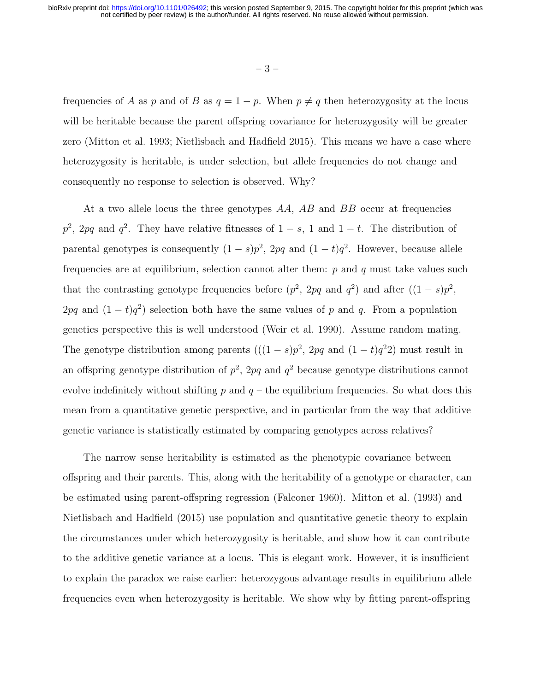– 3 –

frequencies of A as p and of B as  $q = 1 - p$ . When  $p \neq q$  then heterozygosity at the locus will be heritable because the parent offspring covariance for heterozygosity will be greater zero (Mitton et al. 1993; Nietlisbach and Hadfield 2015). This means we have a case where heterozygosity is heritable, is under selection, but allele frequencies do not change and consequently no response to selection is observed. Why?

At a two allele locus the three genotypes  $AA$ ,  $AB$  and  $BB$  occur at frequencies  $p^2$ , 2pq and  $q^2$ . They have relative fitnesses of  $1-s$ , 1 and  $1-t$ . The distribution of parental genotypes is consequently  $(1-s)p^2$ ,  $2pq$  and  $(1-t)q^2$ . However, because allele frequencies are at equilibrium, selection cannot alter them:  $p$  and  $q$  must take values such that the contrasting genotype frequencies before  $(p^2, 2pq \text{ and } q^2)$  and after  $((1-s)p^2,$ 2pq and  $(1-t)q^2$ ) selection both have the same values of p and q. From a population genetics perspective this is well understood (Weir et al. 1990). Assume random mating. The genotype distribution among parents  $(((1-s)p^2, 2pq \text{ and } (1-t)q^22)$  must result in an offspring genotype distribution of  $p^2$ , 2pq and  $q^2$  because genotype distributions cannot evolve indefinitely without shifting  $p$  and  $q$  – the equilibrium frequencies. So what does this mean from a quantitative genetic perspective, and in particular from the way that additive genetic variance is statistically estimated by comparing genotypes across relatives?

The narrow sense heritability is estimated as the phenotypic covariance between offspring and their parents. This, along with the heritability of a genotype or character, can be estimated using parent-offspring regression (Falconer 1960). Mitton et al. (1993) and Nietlisbach and Hadfield (2015) use population and quantitative genetic theory to explain the circumstances under which heterozygosity is heritable, and show how it can contribute to the additive genetic variance at a locus. This is elegant work. However, it is insufficient to explain the paradox we raise earlier: heterozygous advantage results in equilibrium allele frequencies even when heterozygosity is heritable. We show why by fitting parent-offspring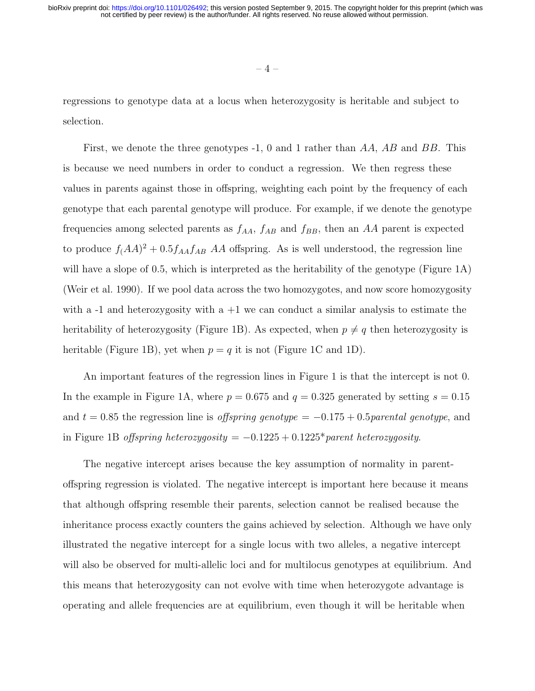$-4-$ 

regressions to genotype data at a locus when heterozygosity is heritable and subject to selection.

First, we denote the three genotypes  $-1$ , 0 and 1 rather than AA, AB and BB. This is because we need numbers in order to conduct a regression. We then regress these values in parents against those in offspring, weighting each point by the frequency of each genotype that each parental genotype will produce. For example, if we denote the genotype frequencies among selected parents as  $f_{AA}$ ,  $f_{AB}$  and  $f_{BB}$ , then an AA parent is expected to produce  $f(A)$ <sup>2</sup> + 0.5 $f_{AA}f_{AB}$  AA offspring. As is well understood, the regression line will have a slope of 0.5, which is interpreted as the heritability of the genotype (Figure 1A) (Weir et al. 1990). If we pool data across the two homozygotes, and now score homozygosity with a  $-1$  and heterozygosity with a  $+1$  we can conduct a similar analysis to estimate the heritability of heterozygosity (Figure 1B). As expected, when  $p \neq q$  then heterozygosity is heritable (Figure 1B), yet when  $p = q$  it is not (Figure 1C and 1D).

An important features of the regression lines in Figure 1 is that the intercept is not 0. In the example in Figure 1A, where  $p = 0.675$  and  $q = 0.325$  generated by setting  $s = 0.15$ and  $t = 0.85$  the regression line is offspring genotype =  $-0.175 + 0.5$ parental genotype, and in Figure 1B offspring heterozygosity =  $-0.1225 + 0.1225*$  parent heterozygosity.

The negative intercept arises because the key assumption of normality in parentoffspring regression is violated. The negative intercept is important here because it means that although offspring resemble their parents, selection cannot be realised because the inheritance process exactly counters the gains achieved by selection. Although we have only illustrated the negative intercept for a single locus with two alleles, a negative intercept will also be observed for multi-allelic loci and for multilocus genotypes at equilibrium. And this means that heterozygosity can not evolve with time when heterozygote advantage is operating and allele frequencies are at equilibrium, even though it will be heritable when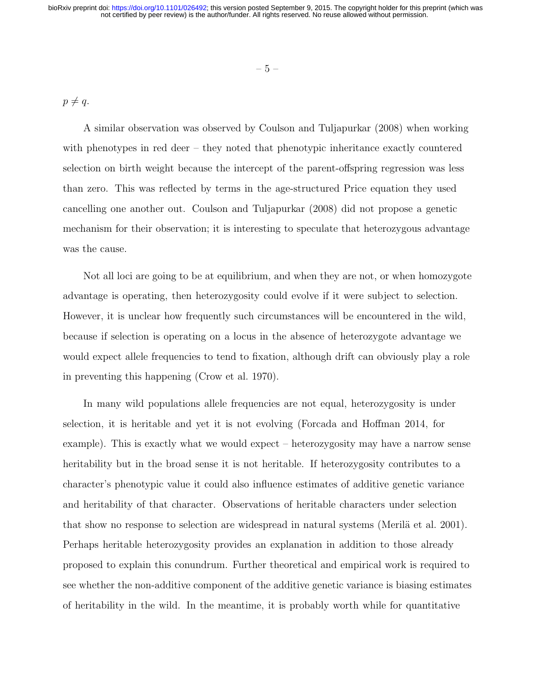$p \neq q$ .

A similar observation was observed by Coulson and Tuljapurkar (2008) when working with phenotypes in red deer – they noted that phenotypic inheritance exactly countered selection on birth weight because the intercept of the parent-offspring regression was less than zero. This was reflected by terms in the age-structured Price equation they used cancelling one another out. Coulson and Tuljapurkar (2008) did not propose a genetic mechanism for their observation; it is interesting to speculate that heterozygous advantage was the cause.

Not all loci are going to be at equilibrium, and when they are not, or when homozygote advantage is operating, then heterozygosity could evolve if it were subject to selection. However, it is unclear how frequently such circumstances will be encountered in the wild, because if selection is operating on a locus in the absence of heterozygote advantage we would expect allele frequencies to tend to fixation, although drift can obviously play a role in preventing this happening (Crow et al. 1970).

In many wild populations allele frequencies are not equal, heterozygosity is under selection, it is heritable and yet it is not evolving (Forcada and Hoffman 2014, for example). This is exactly what we would expect – heterozygosity may have a narrow sense heritability but in the broad sense it is not heritable. If heterozygosity contributes to a character's phenotypic value it could also influence estimates of additive genetic variance and heritability of that character. Observations of heritable characters under selection that show no response to selection are widespread in natural systems (Merilä et al. 2001). Perhaps heritable heterozygosity provides an explanation in addition to those already proposed to explain this conundrum. Further theoretical and empirical work is required to see whether the non-additive component of the additive genetic variance is biasing estimates of heritability in the wild. In the meantime, it is probably worth while for quantitative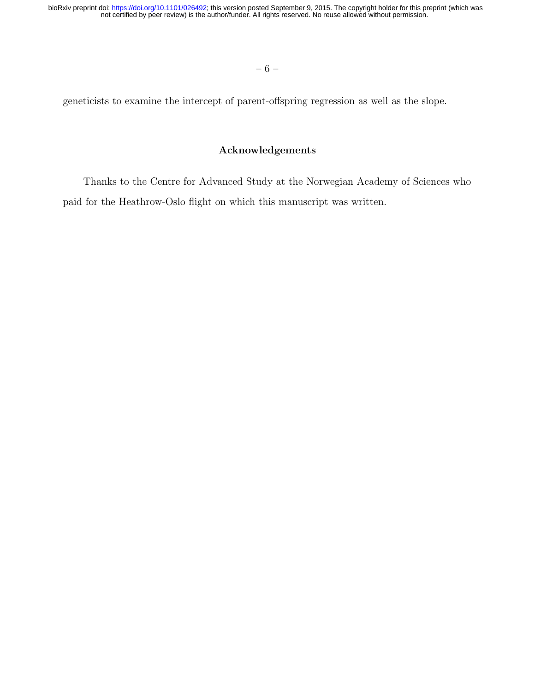geneticists to examine the intercept of parent-offspring regression as well as the slope.

## Acknowledgements

Thanks to the Centre for Advanced Study at the Norwegian Academy of Sciences who paid for the Heathrow-Oslo flight on which this manuscript was written.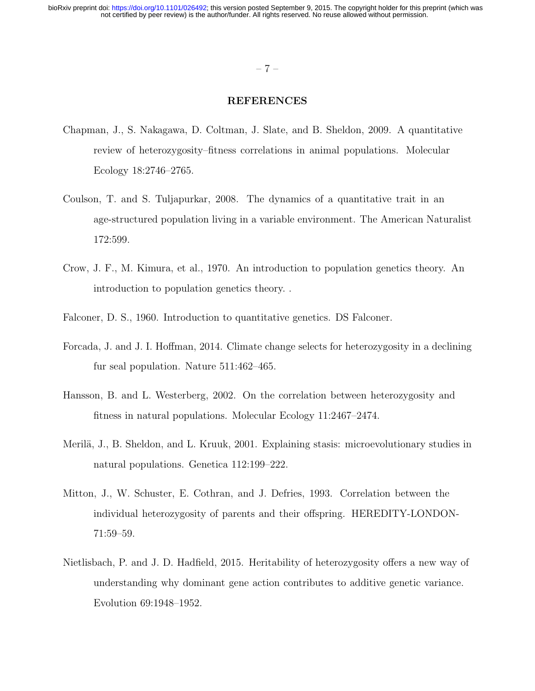### $-7-$

### REFERENCES

- Chapman, J., S. Nakagawa, D. Coltman, J. Slate, and B. Sheldon, 2009. A quantitative review of heterozygosity–fitness correlations in animal populations. Molecular Ecology 18:2746–2765.
- Coulson, T. and S. Tuljapurkar, 2008. The dynamics of a quantitative trait in an age-structured population living in a variable environment. The American Naturalist 172:599.
- Crow, J. F., M. Kimura, et al., 1970. An introduction to population genetics theory. An introduction to population genetics theory. .
- Falconer, D. S., 1960. Introduction to quantitative genetics. DS Falconer.
- Forcada, J. and J. I. Hoffman, 2014. Climate change selects for heterozygosity in a declining fur seal population. Nature 511:462–465.
- Hansson, B. and L. Westerberg, 2002. On the correlation between heterozygosity and fitness in natural populations. Molecular Ecology 11:2467–2474.
- Merilä, J., B. Sheldon, and L. Kruuk, 2001. Explaining stasis: microevolutionary studies in natural populations. Genetica 112:199–222.
- Mitton, J., W. Schuster, E. Cothran, and J. Defries, 1993. Correlation between the individual heterozygosity of parents and their offspring. HEREDITY-LONDON-71:59–59.
- Nietlisbach, P. and J. D. Hadfield, 2015. Heritability of heterozygosity offers a new way of understanding why dominant gene action contributes to additive genetic variance. Evolution 69:1948–1952.